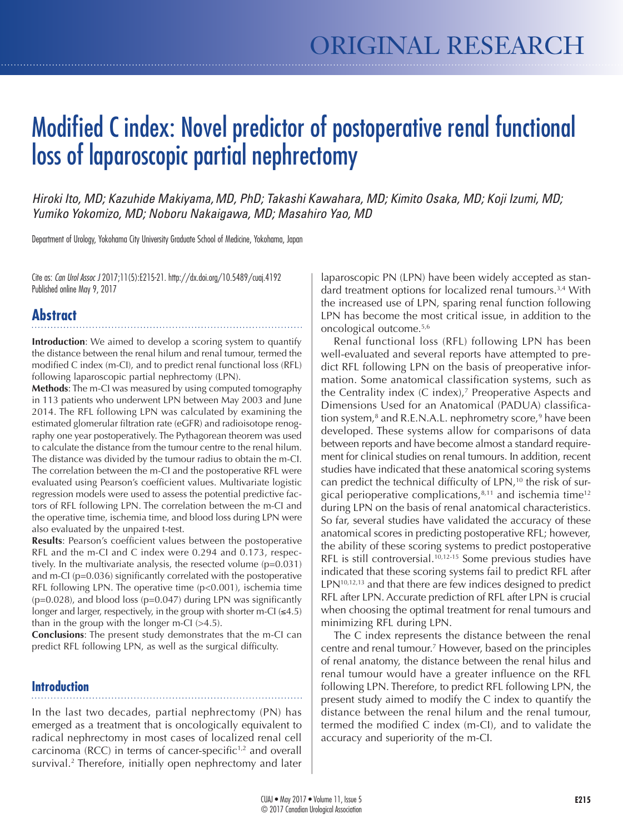# Modified C index: Novel predictor of postoperative renal functional loss of laparoscopic partial nephrectomy

*Hiroki Ito, MD; Kazuhide Makiyama,MD, PhD; Takashi Kawahara, MD; Kimito Osaka, MD; Koji Izumi, MD; Yumiko Yokomizo, MD; Noboru Nakaigawa, MD; Masahiro Yao, MD*

Department of Urology, Yokohama City University Graduate School of Medicine, Yokohama, Japan

Cite as: *Can Urol Assoc J* 2017;11(5):E215-21. http://dx.doi.org/10.5489/cuaj.4192 Published online May 9, 2017

# **Abstract**

**Introduction**: We aimed to develop a scoring system to quantify the distance between the renal hilum and renal tumour, termed the modified C index (m-CI), and to predict renal functional loss (RFL) following laparoscopic partial nephrectomy (LPN).

**Methods**: The m-CI was measured by using computed tomography in 113 patients who underwent LPN between May 2003 and June 2014. The RFL following LPN was calculated by examining the estimated glomerular filtration rate (eGFR) and radioisotope renography one year postoperatively. The Pythagorean theorem was used to calculate the distance from the tumour centre to the renal hilum. The distance was divided by the tumour radius to obtain the m-CI. The correlation between the m-CI and the postoperative RFL were evaluated using Pearson's coefficient values. Multivariate logistic regression models were used to assess the potential predictive factors of RFL following LPN. The correlation between the m-CI and the operative time, ischemia time, and blood loss during LPN were also evaluated by the unpaired t-test.

**Results**: Pearson's coefficient values between the postoperative RFL and the m-CI and C index were 0.294 and 0.173, respectively. In the multivariate analysis, the resected volume (p=0.031) and m-CI (p=0.036) significantly correlated with the postoperative RFL following LPN. The operative time (p<0.001), ischemia time  $(p=0.028)$ , and blood loss  $(p=0.047)$  during LPN was significantly longer and larger, respectively, in the group with shorter m-CI  $(\leq 4.5)$ than in the group with the longer m-CI  $(>4.5)$ .

**Conclusions**: The present study demonstrates that the m-CI can predict RFL following LPN, as well as the surgical difficulty.

#### **Introduction**

In the last two decades, partial nephrectomy (PN) has emerged as a treatment that is oncologically equivalent to radical nephrectomy in most cases of localized renal cell carcinoma (RCC) in terms of cancer-specific<sup> $1,2$ </sup> and overall survival.2 Therefore, initially open nephrectomy and later

laparoscopic PN (LPN) have been widely accepted as standard treatment options for localized renal tumours.<sup>3,4</sup> With the increased use of LPN, sparing renal function following LPN has become the most critical issue, in addition to the oncological outcome.5,6

Renal functional loss (RFL) following LPN has been well-evaluated and several reports have attempted to predict RFL following LPN on the basis of preoperative information. Some anatomical classification systems, such as the Centrality index (C index),<sup>7</sup> Preoperative Aspects and Dimensions Used for an Anatomical (PADUA) classification system,<sup>8</sup> and R.E.N.A.L. nephrometry score,<sup>9</sup> have been developed. These systems allow for comparisons of data between reports and have become almost a standard requirement for clinical studies on renal tumours. In addition, recent studies have indicated that these anatomical scoring systems can predict the technical difficulty of LPN,<sup>10</sup> the risk of surgical perioperative complications, $8,11$  and ischemia time<sup>12</sup> during LPN on the basis of renal anatomical characteristics. So far, several studies have validated the accuracy of these anatomical scores in predicting postoperative RFL; however, the ability of these scoring systems to predict postoperative RFL is still controversial.<sup>10,12-15</sup> Some previous studies have indicated that these scoring systems fail to predict RFL after  $LPN<sup>10,12,13</sup>$  and that there are few indices designed to predict RFL after LPN. Accurate prediction of RFL after LPN is crucial when choosing the optimal treatment for renal tumours and minimizing RFL during LPN.

The C index represents the distance between the renal centre and renal tumour.7 However, based on the principles of renal anatomy, the distance between the renal hilus and renal tumour would have a greater influence on the RFL following LPN. Therefore, to predict RFL following LPN, the present study aimed to modify the C index to quantify the distance between the renal hilum and the renal tumour, termed the modified C index (m-CI), and to validate the accuracy and superiority of the m-CI.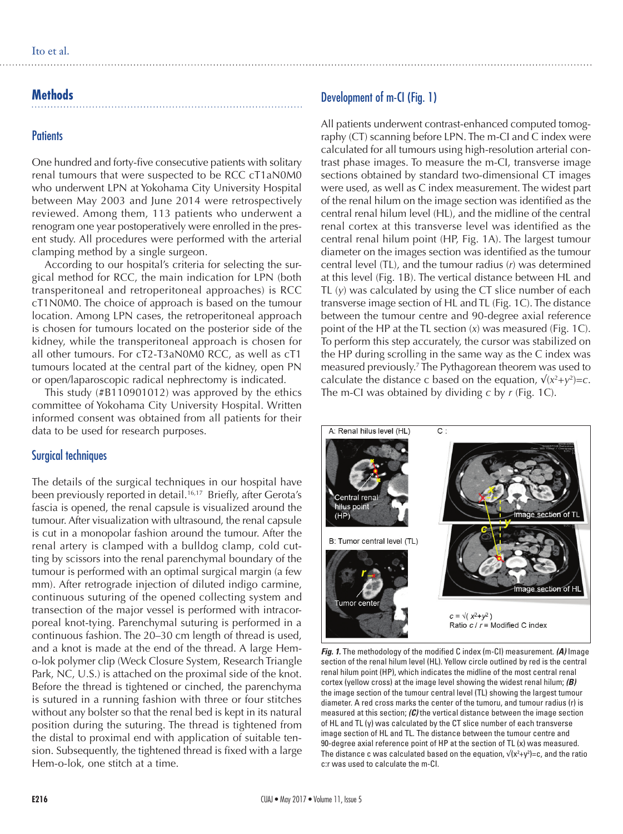# **Methods**

#### **Patients**

One hundred and forty-five consecutive patients with solitary renal tumours that were suspected to be RCC cT1aN0M0 who underwent LPN at Yokohama City University Hospital between May 2003 and June 2014 were retrospectively reviewed. Among them, 113 patients who underwent a renogram one year postoperatively were enrolled in the present study. All procedures were performed with the arterial clamping method by a single surgeon.

According to our hospital's criteria for selecting the surgical method for RCC, the main indication for LPN (both transperitoneal and retroperitoneal approaches) is RCC cT1N0M0. The choice of approach is based on the tumour location. Among LPN cases, the retroperitoneal approach is chosen for tumours located on the posterior side of the kidney, while the transperitoneal approach is chosen for all other tumours. For cT2-T3aN0M0 RCC, as well as cT1 tumours located at the central part of the kidney, open PN or open/laparoscopic radical nephrectomy is indicated.

This study (#B110901012) was approved by the ethics committee of Yokohama City University Hospital. Written informed consent was obtained from all patients for their data to be used for research purposes.

#### Surgical techniques

The details of the surgical techniques in our hospital have been previously reported in detail.<sup>16,17</sup> Briefly, after Gerota's fascia is opened, the renal capsule is visualized around the tumour. After visualization with ultrasound, the renal capsule is cut in a monopolar fashion around the tumour. After the renal artery is clamped with a bulldog clamp, cold cutting by scissors into the renal parenchymal boundary of the tumour is performed with an optimal surgical margin (a few mm). After retrograde injection of diluted indigo carmine, continuous suturing of the opened collecting system and transection of the major vessel is performed with intracorporeal knot-tying. Parenchymal suturing is performed in a continuous fashion. The 20–30 cm length of thread is used, and a knot is made at the end of the thread. A large Hemo-lok polymer clip (Weck Closure System, Research Triangle Park, NC, U.S.) is attached on the proximal side of the knot. Before the thread is tightened or cinched, the parenchyma is sutured in a running fashion with three or four stitches without any bolster so that the renal bed is kept in its natural position during the suturing. The thread is tightened from the distal to proximal end with application of suitable tension. Subsequently, the tightened thread is fixed with a large Hem-o-lok, one stitch at a time.

# Development of m-CI (Fig. 1)

All patients underwent contrast-enhanced computed tomography (CT) scanning before LPN. The m-CI and C index were calculated for all tumours using high-resolution arterial contrast phase images. To measure the m-CI, transverse image sections obtained by standard two-dimensional CT images were used, as well as C index measurement. The widest part of the renal hilum on the image section was identified as the central renal hilum level (HL), and the midline of the central renal cortex at this transverse level was identified as the central renal hilum point (HP, Fig. 1A). The largest tumour diameter on the images section was identified as the tumour central level (TL), and the tumour radius (*r*) was determined at this level (Fig. 1B). The vertical distance between HL and TL (*y*) was calculated by using the CT slice number of each transverse image section of HL and TL (Fig. 1C). The distance between the tumour centre and 90-degree axial reference point of the HP at the TL section (*x*) was measured (Fig. 1C). To perform this step accurately, the cursor was stabilized on the HP during scrolling in the same way as the C index was measured previously.7 The Pythagorean theorem was used to calculate the distance c based on the equation,  $\sqrt{(x^2 + y^2)} = c$ . The m-CI was obtained by dividing *c* by *r* (Fig. 1C).



*Fig. 1.* The methodology of the modified C index (m-CI) measurement. *(A)* Image section of the renal hilum level (HL). Yellow circle outlined by red is the central renal hilum point (HP), which indicates the midline of the most central renal cortex (yellow cross) at the image level showing the widest renal hilum; *(B)*  the image section of the tumour central level (TL) showing the largest tumour diameter. A red cross marks the center of the tumoru, and tumour radius (r) is measured at this section; *(C)* the vertical distance between the image section of HL and TL (y) was calculated by the CT slice number of each transverse image section of HL and TL. The distance between the tumour centre and 90-degree axial reference point of HP at the section of TL (x) was measured. The distance c was calculated based on the equation,  $\sqrt{(x^2+y^2)}=c$ , and the ratio c:r was used to calculate the m-CI.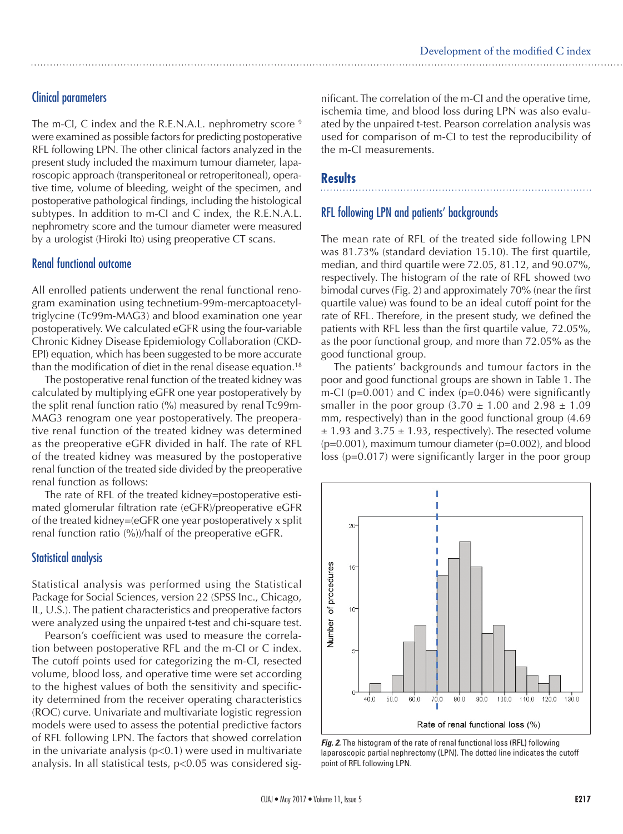### Clinical parameters

The m-CI, C index and the R.E.N.A.L. nephrometry score <sup>9</sup> were examined as possible factors for predicting postoperative RFL following LPN. The other clinical factors analyzed in the present study included the maximum tumour diameter, laparoscopic approach (transperitoneal or retroperitoneal), operative time, volume of bleeding, weight of the specimen, and postoperative pathological findings, including the histological subtypes. In addition to m-CI and C index, the R.E.N.A.L. nephrometry score and the tumour diameter were measured by a urologist (Hiroki Ito) using preoperative CT scans.

#### Renal functional outcome

All enrolled patients underwent the renal functional renogram examination using technetium-99m-mercaptoacetyltriglycine (Tc99m-MAG3) and blood examination one year postoperatively. We calculated eGFR using the four-variable Chronic Kidney Disease Epidemiology Collaboration (CKD-EPI) equation, which has been suggested to be more accurate than the modification of diet in the renal disease equation.<sup>18</sup>

The postoperative renal function of the treated kidney was calculated by multiplying eGFR one year postoperatively by the split renal function ratio (%) measured by renal Tc99m-MAG3 renogram one year postoperatively. The preoperative renal function of the treated kidney was determined as the preoperative eGFR divided in half. The rate of RFL of the treated kidney was measured by the postoperative renal function of the treated side divided by the preoperative renal function as follows:

The rate of RFL of the treated kidney=postoperative estimated glomerular filtration rate (eGFR)/preoperative eGFR of the treated kidney=(eGFR one year postoperatively x split renal function ratio (%))/half of the preoperative eGFR.

#### Statistical analysis

Statistical analysis was performed using the Statistical Package for Social Sciences, version 22 (SPSS Inc., Chicago, IL, U.S.). The patient characteristics and preoperative factors were analyzed using the unpaired t-test and chi-square test.

Pearson's coefficient was used to measure the correlation between postoperative RFL and the m-CI or C index. The cutoff points used for categorizing the m-CI, resected volume, blood loss, and operative time were set according to the highest values of both the sensitivity and specificity determined from the receiver operating characteristics (ROC) curve. Univariate and multivariate logistic regression models were used to assess the potential predictive factors of RFL following LPN. The factors that showed correlation in the univariate analysis  $(p<0.1)$  were used in multivariate analysis. In all statistical tests, p<0*.*05 was considered sig-

nificant. The correlation of the m-CI and the operative time, ischemia time, and blood loss during LPN was also evaluated by the unpaired t-test. Pearson correlation analysis was used for comparison of m-CI to test the reproducibility of the m-CI measurements.

# **Results**

#### RFL following LPN and patients' backgrounds

The mean rate of RFL of the treated side following LPN was 81.73% (standard deviation 15.10). The first quartile, median, and third quartile were 72.05, 81.12, and 90.07%, respectively. The histogram of the rate of RFL showed two bimodal curves (Fig. 2) and approximately 70% (near the first quartile value) was found to be an ideal cutoff point for the rate of RFL. Therefore, in the present study, we defined the patients with RFL less than the first quartile value, 72.05%, as the poor functional group, and more than 72.05% as the good functional group.

The patients' backgrounds and tumour factors in the poor and good functional groups are shown in Table 1. The m-CI ( $p=0.001$ ) and C index ( $p=0.046$ ) were significantly smaller in the poor group  $(3.70 \pm 1.00 \text{ and } 2.98 \pm 1.09)$ mm, respectively) than in the good functional group (4.69  $\pm$  1.93 and 3.75  $\pm$  1.93, respectively). The resected volume (p=0.001), maximum tumour diameter (p=0.002), and blood loss (p=0.017) were significantly larger in the poor group



**Fig. 2.** The histogram of the rate of renal functional loss (RFL) following laparoscopic partial nephrectomy (LPN). The dotted line indicates the cutoff point of RFL following LPN.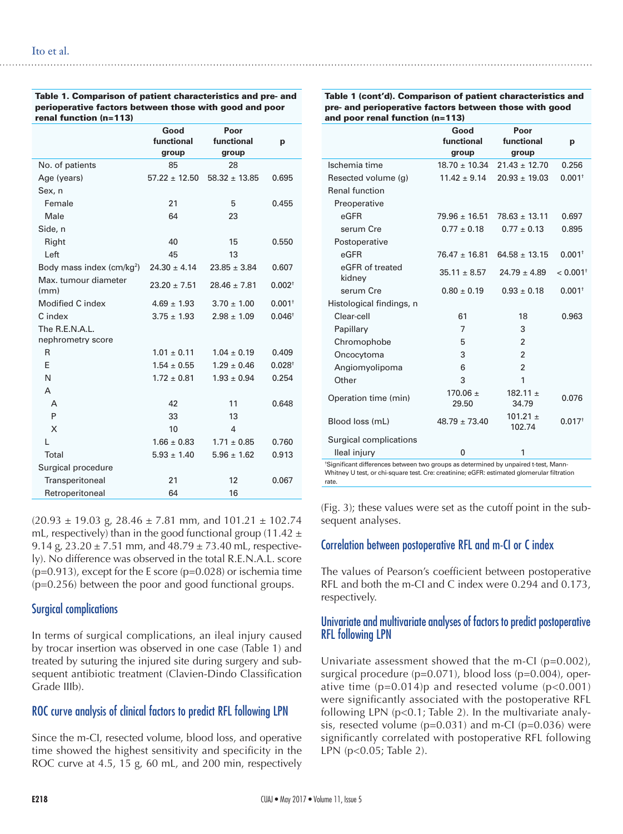| Table 1. Comparison of patient characteristics and pre- and |
|-------------------------------------------------------------|
| perioperative factors between those with good and poor      |
| renal function (n=113)                                      |

|                                       | Good<br>functional<br>group | Poor<br>functional<br>group | р                    |
|---------------------------------------|-----------------------------|-----------------------------|----------------------|
| No. of patients                       | 85                          | 28                          |                      |
| Age (years)                           | $57.22 \pm 12.50$           | $58.32 \pm 13.85$           | 0.695                |
| Sex, n                                |                             |                             |                      |
| Female                                | 21                          | 5                           | 0.455                |
| Male                                  | 64                          | 23                          |                      |
| Side, n                               |                             |                             |                      |
| Right                                 | 40                          | 15                          | 0.550                |
| Left                                  | 45                          | 13                          |                      |
| Body mass index (cm/kg <sup>2</sup> ) | $24.30 \pm 4.14$            | $23.85 \pm 3.84$            | 0.607                |
| Max. tumour diameter<br>(mm)          | $23.20 \pm 7.51$            | $28.46 \pm 7.81$            | $0.002^+$            |
| Modified C index                      | $4.69 \pm 1.93$             | $3.70 \pm 1.00$             | $0.001$ <sup>+</sup> |
| C index                               | $3.75 \pm 1.93$             | $2.98 \pm 1.09$             | $0.046^{\dagger}$    |
| The R.E.N.A.L.                        |                             |                             |                      |
| nephrometry score                     |                             |                             |                      |
| R                                     | $1.01 \pm 0.11$             | $1.04 \pm 0.19$             | 0.409                |
| F                                     | $1.54 \pm 0.55$             | $1.29 \pm 0.46$             | $0.028^{+}$          |
| N                                     | $1.72 \pm 0.81$             | $1.93 \pm 0.94$             | 0.254                |
| A                                     |                             |                             |                      |
| A                                     | 42                          | 11                          | 0.648                |
| P                                     | 33                          | 13                          |                      |
| X                                     | 10                          | 4                           |                      |
| L                                     | $1.66 \pm 0.83$             | $1.71 \pm 0.85$             | 0.760                |
| Total                                 | $5.93 \pm 1.40$             | $5.96 \pm 1.62$             | 0.913                |
| Surgical procedure                    |                             |                             |                      |
| Transperitoneal                       | 21                          | 12                          | 0.067                |
| Retroperitoneal                       | 64                          | 16                          |                      |

 $(20.93 \pm 19.03 \text{ g}, 28.46 \pm 7.81 \text{ mm}, \text{ and } 101.21 \pm 102.74 \text{ m}$ mL, respectively) than in the good functional group (11.42  $\pm$ 9.14 g,  $23.20 \pm 7.51$  mm, and  $48.79 \pm 73.40$  mL, respectively). No difference was observed in the total R.E.N.A.L. score  $(p=0.913)$ , except for the E score  $(p=0.028)$  or ischemia time (p=0.256) between the poor and good functional groups.

#### Surgical complications

In terms of surgical complications, an ileal injury caused by trocar insertion was observed in one case (Table 1) and treated by suturing the injured site during surgery and subsequent antibiotic treatment (Clavien-Dindo Classification Grade IIIb).

#### ROC curve analysis of clinical factors to predict RFL following LPN

Since the m-CI, resected volume, blood loss, and operative time showed the highest sensitivity and specificity in the ROC curve at 4.5, 15 g, 60 mL, and 200 min, respectively Table 1 (cont'd). Comparison of patient characteristics and pre- and perioperative factors between those with good and poor renal function (n=113)

|                           | Good<br>functional<br>group | Poor<br>functional<br>group | p                      |
|---------------------------|-----------------------------|-----------------------------|------------------------|
| Ischemia time             | $18.70 \pm 10.34$           | $21.43 \pm 12.70$           | 0.256                  |
| Resected volume (g)       | $11.42 \pm 9.14$            | $20.93 \pm 19.03$           | $0.001$ <sup>t</sup>   |
| <b>Renal function</b>     |                             |                             |                        |
| Preoperative              |                             |                             |                        |
| eGFR                      | $79.96 \pm 16.51$           | $78.63 \pm 13.11$           | 0.697                  |
| serum Cre                 | $0.77 \pm 0.18$             | $0.77 \pm 0.13$             | 0.895                  |
| Postoperative             |                             |                             |                        |
| eGFR                      | $76.47 \pm 16.81$           | $64.58 \pm 13.15$           | $0.001$ <sup>t</sup>   |
| eGFR of treated<br>kidney | $35.11 \pm 8.57$            | $24.79 \pm 4.89$            | $< 0.001$ <sup>+</sup> |
| serum Cre                 | $0.80 \pm 0.19$             | $0.93 \pm 0.18$             | $0.001$ <sup>t</sup>   |
| Histological findings, n  |                             |                             |                        |
| Clear-cell                | 61                          | 18                          | 0.963                  |
| Papillary                 | 7                           | 3                           |                        |
| Chromophobe               | 5                           | $\mathfrak{p}$              |                        |
| Oncocytoma                | 3                           | $\mathfrak{p}$              |                        |
| Angiomyolipoma            | 6                           | $\mathfrak{p}$              |                        |
| Other                     | 3                           | 1                           |                        |
| Operation time (min)      | $170.06 \pm$<br>29.50       | $182.11 \pm$<br>34.79       | 0.076                  |
| Blood loss (mL)           | $48.79 \pm 73.40$           | $101.21 \pm$<br>102.74      | $0.017$ <sup>t</sup>   |
| Surgical complications    |                             |                             |                        |
| lleal injury              | 0                           | 1                           |                        |

† Significant differences between two groups as determined by unpaired t-test, Mann-Whitney U test, or chi-square test. Cre: creatinine; eGFR: estimated glomerular filtration rate.

(Fig. 3); these values were set as the cutoff point in the subsequent analyses.

#### Correlation between postoperative RFL and m-CI or C index

The values of Pearson's coefficient between postoperative RFL and both the m-CI and C index were 0.294 and 0.173, respectively.

#### Univariate and multivariate analyses of factors to predict postoperative RFL following LPN

Univariate assessment showed that the m-CI  $(p=0.002)$ , surgical procedure (p=0.071), blood loss (p=0.004), operative time  $(p=0.014)p$  and resected volume  $(p<0.001)$ were significantly associated with the postoperative RFL following LPN (p<0.1; Table 2). In the multivariate analysis, resected volume  $(p=0.031)$  and m-CI  $(p=0.036)$  were significantly correlated with postoperative RFL following LPN (p<0.05; Table 2).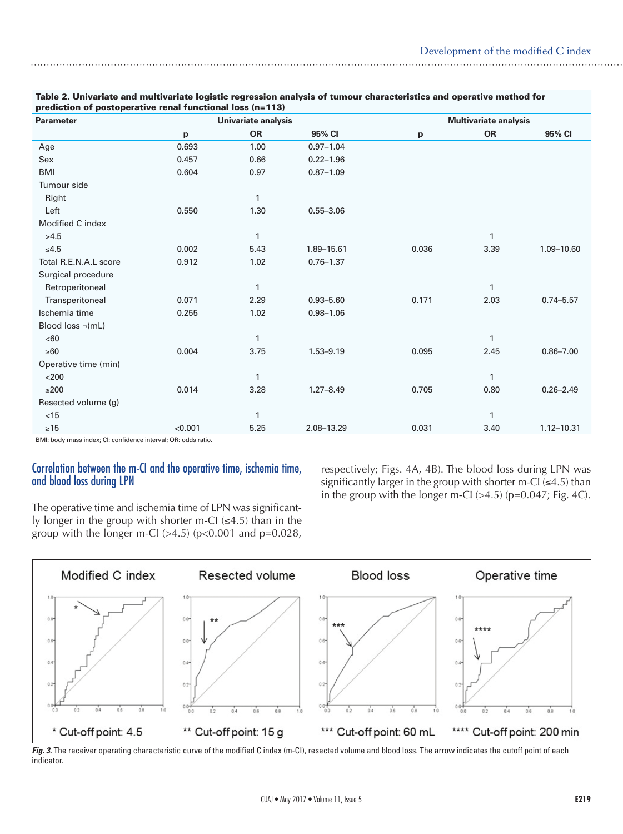| <b>Parameter</b>       |         | Univariate analysis |               | <b>Multivariate analysis</b> |           |               |
|------------------------|---------|---------------------|---------------|------------------------------|-----------|---------------|
|                        | p       | <b>OR</b>           | 95% CI        | p                            | <b>OR</b> | 95% CI        |
| Age                    | 0.693   | 1.00                | $0.97 - 1.04$ |                              |           |               |
| Sex                    | 0.457   | 0.66                | $0.22 - 1.96$ |                              |           |               |
| <b>BMI</b>             | 0.604   | 0.97                | $0.87 - 1.09$ |                              |           |               |
| Tumour side            |         |                     |               |                              |           |               |
| Right                  |         | $\mathbf{1}$        |               |                              |           |               |
| Left                   | 0.550   | 1.30                | $0.55 - 3.06$ |                              |           |               |
| Modified C index       |         |                     |               |                              |           |               |
| >4.5                   |         | 1                   |               |                              | 1         |               |
| $≤4.5$                 | 0.002   | 5.43                | 1.89-15.61    | 0.036                        | 3.39      | 1.09-10.60    |
| Total R.E.N.A.L score  | 0.912   | 1.02                | $0.76 - 1.37$ |                              |           |               |
| Surgical procedure     |         |                     |               |                              |           |               |
| Retroperitoneal        |         | $\mathbf{1}$        |               |                              | 1         |               |
| Transperitoneal        | 0.071   | 2.29                | $0.93 - 5.60$ | 0.171                        | 2.03      | $0.74 - 5.57$ |
| Ischemia time          | 0.255   | 1.02                | $0.98 - 1.06$ |                              |           |               |
| Blood loss $\neg$ (mL) |         |                     |               |                              |           |               |
| <60                    |         | $\mathbf{1}$        |               |                              | 1         |               |
| $\geq 60$              | 0.004   | 3.75                | $1.53 - 9.19$ | 0.095                        | 2.45      | $0.86 - 7.00$ |
| Operative time (min)   |         |                     |               |                              |           |               |
| $<$ 200                |         | $\mathbf{1}$        |               |                              | 1         |               |
| $\geq$ 200             | 0.014   | 3.28                | $1.27 - 8.49$ | 0.705                        | 0.80      | $0.26 - 2.49$ |
| Resected volume (g)    |         |                     |               |                              |           |               |
| < 15                   |         | $\mathbf{1}$        |               |                              | 1         |               |
| $\geq 15$              | < 0.001 | 5.25                | 2.08-13.29    | 0.031                        | 3.40      | 1.12-10.31    |

#### Correlation between the m-CI and the operative time, ischemia time, and blood loss during LPN

The operative time and ischemia time of LPN was significantly longer in the group with shorter m-CI  $(\leq 4.5)$  than in the group with the longer m-CI  $(>4.5)$  (p<0.001 and p=0.028,

respectively; Figs. 4A, 4B). The blood loss during LPN was significantly larger in the group with shorter m-CI  $(4.5)$  than in the group with the longer m-CI  $(>4.5)$  (p=0.047; Fig. 4C).



Fig. 3. The receiver operating characteristic curve of the modified C index (m-CI), resected volume and blood loss. The arrow indicates the cutoff point of each indicator.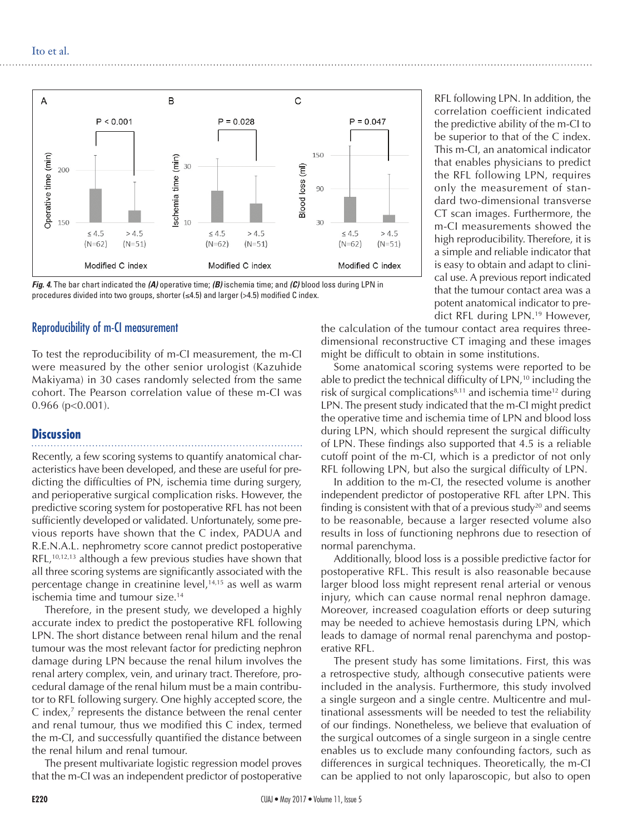

*Fig. 4.* The bar chart indicated the *(A)* operative time; *(B)* ischemia time; and *(C)* blood loss during LPN in procedures divided into two groups, shorter  $(\leq 4.5)$  and larger ( $>4.5$ ) modified C index.

#### Reproducibility of m-CI measurement

To test the reproducibility of m-CI measurement, the m-CI were measured by the other senior urologist (Kazuhide Makiyama) in 30 cases randomly selected from the same cohort. The Pearson correlation value of these m-CI was 0.966 (p<0.001).

#### **Discussion**

Recently, a few scoring systems to quantify anatomical characteristics have been developed, and these are useful for predicting the difficulties of PN, ischemia time during surgery, and perioperative surgical complication risks. However, the predictive scoring system for postoperative RFL has not been sufficiently developed or validated. Unfortunately, some previous reports have shown that the C index, PADUA and R.E.N.A.L. nephrometry score cannot predict postoperative  $RFL$ ,<sup>10,12,13</sup> although a few previous studies have shown that all three scoring systems are significantly associated with the percentage change in creatinine level, $14,15$  as well as warm ischemia time and tumour size.<sup>14</sup>

Therefore, in the present study, we developed a highly accurate index to predict the postoperative RFL following LPN. The short distance between renal hilum and the renal tumour was the most relevant factor for predicting nephron damage during LPN because the renal hilum involves the renal artery complex, vein, and urinary tract. Therefore, procedural damage of the renal hilum must be a main contributor to RFL following surgery. One highly accepted score, the C index,<sup>7</sup> represents the distance between the renal center and renal tumour, thus we modified this C index, termed the m-CI, and successfully quantified the distance between the renal hilum and renal tumour.

The present multivariate logistic regression model proves that the m-CI was an independent predictor of postoperative

RFL following LPN. In addition, the correlation coefficient indicated the predictive ability of the m-CI to be superior to that of the C index. This m-CI, an anatomical indicator that enables physicians to predict the RFL following LPN, requires only the measurement of standard two-dimensional transverse CT scan images. Furthermore, the m-CI measurements showed the high reproducibility. Therefore, it is a simple and reliable indicator that is easy to obtain and adapt to clinical use. A previous report indicated that the tumour contact area was a potent anatomical indicator to predict RFL during LPN.19 However,

the calculation of the tumour contact area requires threedimensional reconstructive CT imaging and these images might be difficult to obtain in some institutions.

Some anatomical scoring systems were reported to be able to predict the technical difficulty of LPN,<sup>10</sup> including the risk of surgical complications $8,11$  and ischemia time<sup>12</sup> during LPN. The present study indicated that the m-CI might predict the operative time and ischemia time of LPN and blood loss during LPN, which should represent the surgical difficulty of LPN. These findings also supported that 4.5 is a reliable cutoff point of the m-CI, which is a predictor of not only RFL following LPN, but also the surgical difficulty of LPN.

In addition to the m-CI, the resected volume is another independent predictor of postoperative RFL after LPN. This finding is consistent with that of a previous study<sup>20</sup> and seems to be reasonable, because a larger resected volume also results in loss of functioning nephrons due to resection of normal parenchyma.

Additionally, blood loss is a possible predictive factor for postoperative RFL. This result is also reasonable because larger blood loss might represent renal arterial or venous injury, which can cause normal renal nephron damage. Moreover, increased coagulation efforts or deep suturing may be needed to achieve hemostasis during LPN, which leads to damage of normal renal parenchyma and postoperative RFL.

The present study has some limitations. First, this was a retrospective study, although consecutive patients were included in the analysis. Furthermore, this study involved a single surgeon and a single centre. Multicentre and multinational assessments will be needed to test the reliability of our findings. Nonetheless, we believe that evaluation of the surgical outcomes of a single surgeon in a single centre enables us to exclude many confounding factors, such as differences in surgical techniques. Theoretically, the m-CI can be applied to not only laparoscopic, but also to open